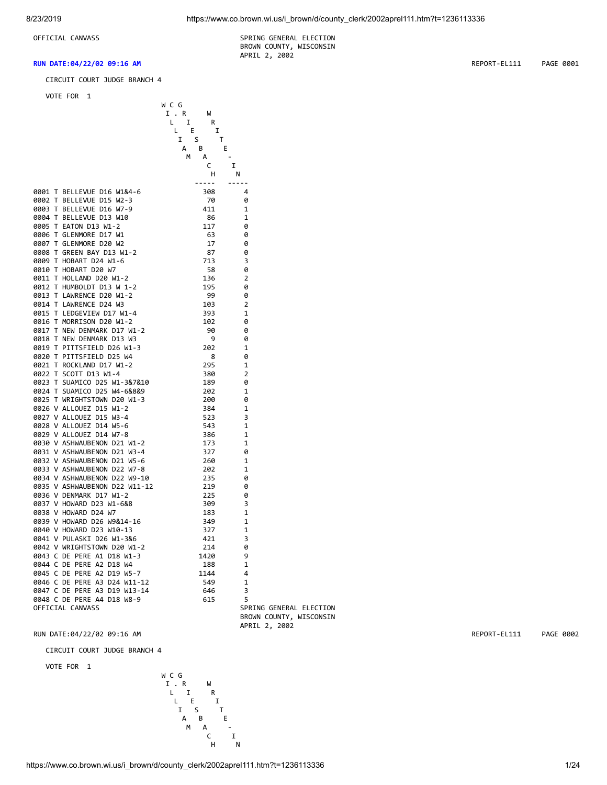OFFICIAL CANVASS SPRING GENERAL ELECTION BROWN COUNTY, WISCONSIN

CIRCUIT COURT JUDGE BRANCH 4

APRIL 2, 2002

VOTE FOR 1

|                                                                                                                                                                                                              | W C G         |                                                                                                                                                                                                                                                                                                                                                                                              |                         |
|--------------------------------------------------------------------------------------------------------------------------------------------------------------------------------------------------------------|---------------|----------------------------------------------------------------------------------------------------------------------------------------------------------------------------------------------------------------------------------------------------------------------------------------------------------------------------------------------------------------------------------------------|-------------------------|
|                                                                                                                                                                                                              | I . R<br>W    |                                                                                                                                                                                                                                                                                                                                                                                              |                         |
|                                                                                                                                                                                                              | L I<br>R      |                                                                                                                                                                                                                                                                                                                                                                                              |                         |
|                                                                                                                                                                                                              | E.<br>I<br>L, |                                                                                                                                                                                                                                                                                                                                                                                              |                         |
|                                                                                                                                                                                                              | Ι.<br>S       | т                                                                                                                                                                                                                                                                                                                                                                                            |                         |
|                                                                                                                                                                                                              | B<br>A        | E                                                                                                                                                                                                                                                                                                                                                                                            |                         |
|                                                                                                                                                                                                              | M<br>А        |                                                                                                                                                                                                                                                                                                                                                                                              |                         |
|                                                                                                                                                                                                              | C             | I                                                                                                                                                                                                                                                                                                                                                                                            |                         |
|                                                                                                                                                                                                              |               |                                                                                                                                                                                                                                                                                                                                                                                              |                         |
|                                                                                                                                                                                                              | н             | N                                                                                                                                                                                                                                                                                                                                                                                            |                         |
|                                                                                                                                                                                                              | $- - - - -$   | $\frac{1}{2} \frac{1}{2} \frac{1}{2} \frac{1}{2} \frac{1}{2} \frac{1}{2} \frac{1}{2} \frac{1}{2} \frac{1}{2} \frac{1}{2} \frac{1}{2} \frac{1}{2} \frac{1}{2} \frac{1}{2} \frac{1}{2} \frac{1}{2} \frac{1}{2} \frac{1}{2} \frac{1}{2} \frac{1}{2} \frac{1}{2} \frac{1}{2} \frac{1}{2} \frac{1}{2} \frac{1}{2} \frac{1}{2} \frac{1}{2} \frac{1}{2} \frac{1}{2} \frac{1}{2} \frac{1}{2} \frac{$ |                         |
| 0001 T BELLEVUE D16 W1&4-6                                                                                                                                                                                   | 308           | 4                                                                                                                                                                                                                                                                                                                                                                                            |                         |
| 0002 T BELLEVUE D15 W2-3                                                                                                                                                                                     | 70            | 0                                                                                                                                                                                                                                                                                                                                                                                            |                         |
| 0003 T BELLEVUE D16 W7-9                                                                                                                                                                                     | 411           | 1                                                                                                                                                                                                                                                                                                                                                                                            |                         |
| 0004 T BELLEVUE D13 W10                                                                                                                                                                                      | - 86          | 1                                                                                                                                                                                                                                                                                                                                                                                            |                         |
| 0005 T EATON D13 W1-2                                                                                                                                                                                        | 117           | 0                                                                                                                                                                                                                                                                                                                                                                                            |                         |
| 0006 T GLENMORE D17 W1                                                                                                                                                                                       | 63            | 0                                                                                                                                                                                                                                                                                                                                                                                            |                         |
| 0007 T GLENMORE D20 W2                                                                                                                                                                                       | 17            | 0                                                                                                                                                                                                                                                                                                                                                                                            |                         |
| 0008 T GREEN BAY D13 W1-2<br>0009 T HOBART D24 W1-6                                                                                                                                                          | 87            | 0                                                                                                                                                                                                                                                                                                                                                                                            |                         |
|                                                                                                                                                                                                              | 713           | 3                                                                                                                                                                                                                                                                                                                                                                                            |                         |
| 0010 T HOBART D20 W7                                                                                                                                                                                         | - 58          | 0                                                                                                                                                                                                                                                                                                                                                                                            |                         |
| 0011 T HOLLAND D20 W1-2                                                                                                                                                                                      | 136           | $\overline{2}$                                                                                                                                                                                                                                                                                                                                                                               |                         |
|                                                                                                                                                                                                              | 195           | 0                                                                                                                                                                                                                                                                                                                                                                                            |                         |
|                                                                                                                                                                                                              | 99            | 0                                                                                                                                                                                                                                                                                                                                                                                            |                         |
| 0014 T LAWRENCE D24 W3                                                                                                                                                                                       | 103           | $\overline{2}$                                                                                                                                                                                                                                                                                                                                                                               |                         |
|                                                                                                                                                                                                              |               |                                                                                                                                                                                                                                                                                                                                                                                              |                         |
| 0015 T LEDGEVIEW D17 W1-4                                                                                                                                                                                    | 393           | 1                                                                                                                                                                                                                                                                                                                                                                                            |                         |
| 0016 T MORRISON D20 W1-2<br>0017 T NEW DENMARK D17 W1-2<br>0018 T NEW DENMARK D13 W3<br>0019 T PITTSFIELD D26 W1-3                                                                                           | 102           | 0                                                                                                                                                                                                                                                                                                                                                                                            |                         |
|                                                                                                                                                                                                              | 90            | 0                                                                                                                                                                                                                                                                                                                                                                                            |                         |
|                                                                                                                                                                                                              | - 9           | 0                                                                                                                                                                                                                                                                                                                                                                                            |                         |
|                                                                                                                                                                                                              | 202           | 1                                                                                                                                                                                                                                                                                                                                                                                            |                         |
| 0020 T PITTSFIELD D25 W4                                                                                                                                                                                     | - 8           | 0                                                                                                                                                                                                                                                                                                                                                                                            |                         |
| 0021 T ROCKLAND D17 W1-2                                                                                                                                                                                     | 295           | 1                                                                                                                                                                                                                                                                                                                                                                                            |                         |
| 0022 T SCOTT D13 W1-4                                                                                                                                                                                        | 380           | $\overline{2}$                                                                                                                                                                                                                                                                                                                                                                               |                         |
| 0022 1 50011 515 N1 4<br>0023 T SUAMICO D25 W1-3&7&10<br>0024 T SUAMICO D25 W4-6&8&9                                                                                                                         | 189           | 0                                                                                                                                                                                                                                                                                                                                                                                            |                         |
|                                                                                                                                                                                                              | 202           | 1                                                                                                                                                                                                                                                                                                                                                                                            |                         |
|                                                                                                                                                                                                              | 200           | 0                                                                                                                                                                                                                                                                                                                                                                                            |                         |
| 0025 T WRIGHTSTOWN D20 W1-3<br>0026 V ALLOUEZ D15 W1-2<br>0027 V ALLOUEZ D15 W3-4                                                                                                                            | 384           | 1                                                                                                                                                                                                                                                                                                                                                                                            |                         |
|                                                                                                                                                                                                              | 523           | 3                                                                                                                                                                                                                                                                                                                                                                                            |                         |
| 0028 V ALLOUEZ D14 W5-6                                                                                                                                                                                      | 543           | $\mathbf{1}$                                                                                                                                                                                                                                                                                                                                                                                 |                         |
| 0029 V ALLOUEZ D14 W7-8<br>0030 V ASHWAUBENON D21 W1-2                                                                                                                                                       | 386           | 1                                                                                                                                                                                                                                                                                                                                                                                            |                         |
|                                                                                                                                                                                                              | 173           | 1                                                                                                                                                                                                                                                                                                                                                                                            |                         |
| 0031 V ASHWAUBENON D21 W3-4                                                                                                                                                                                  | - 327         | 0                                                                                                                                                                                                                                                                                                                                                                                            |                         |
| 0032 V ASHWAUBENON D21 W5-6                                                                                                                                                                                  | 260           | $\mathbf{1}$                                                                                                                                                                                                                                                                                                                                                                                 |                         |
| 0032 V ASHWAUBENON D21 W5-6<br>0033 V ASHWAUBENON D22 W7-8                                                                                                                                                   | 202           | 1                                                                                                                                                                                                                                                                                                                                                                                            |                         |
|                                                                                                                                                                                                              | 235           | 0                                                                                                                                                                                                                                                                                                                                                                                            |                         |
|                                                                                                                                                                                                              | 219           | 0                                                                                                                                                                                                                                                                                                                                                                                            |                         |
| 0036 V DENMARK D17 W1-2                                                                                                                                                                                      | 225           | 0                                                                                                                                                                                                                                                                                                                                                                                            |                         |
| 0037 V HOWARD D23 W1-6&8                                                                                                                                                                                     |               | 3                                                                                                                                                                                                                                                                                                                                                                                            |                         |
| 0038 V HOWARD D24 W7                                                                                                                                                                                         | 309           | 1                                                                                                                                                                                                                                                                                                                                                                                            |                         |
|                                                                                                                                                                                                              | 183           |                                                                                                                                                                                                                                                                                                                                                                                              |                         |
|                                                                                                                                                                                                              | 349           | 1                                                                                                                                                                                                                                                                                                                                                                                            |                         |
|                                                                                                                                                                                                              | 327           | 1                                                                                                                                                                                                                                                                                                                                                                                            |                         |
|                                                                                                                                                                                                              | -421          | 3                                                                                                                                                                                                                                                                                                                                                                                            |                         |
| 0039 V HOWARD D26 W9&14-16<br>0039 V HOWARD D26 W9&14-16<br>0041 V PULASKI D26 W1-3&6<br>0042 V WRIGHTSTOWN D20 W1-2<br>0043 C DE PERE A1 D18 W1-3<br>0044 C DE PERE A2 D18 W4<br>0045 C DE PERE A2 D19 W5-7 | 214           | 0                                                                                                                                                                                                                                                                                                                                                                                            |                         |
|                                                                                                                                                                                                              | 1420          | 9                                                                                                                                                                                                                                                                                                                                                                                            |                         |
|                                                                                                                                                                                                              | 188           | 1                                                                                                                                                                                                                                                                                                                                                                                            |                         |
|                                                                                                                                                                                                              | 1144          | 4                                                                                                                                                                                                                                                                                                                                                                                            |                         |
| 0046 C DE PERE A3 D24 W11-12                                                                                                                                                                                 | 549           | $\mathbf{1}$                                                                                                                                                                                                                                                                                                                                                                                 |                         |
|                                                                                                                                                                                                              | 646           | 3                                                                                                                                                                                                                                                                                                                                                                                            |                         |
| 0046 L DE FLNL AV --<br>0047 C DE PERE A3 D19 W13-14<br>0049 C DE PERE A4 D18 W8-9                                                                                                                           | 615           | 5                                                                                                                                                                                                                                                                                                                                                                                            |                         |
| OFFICIAL CANVASS                                                                                                                                                                                             |               |                                                                                                                                                                                                                                                                                                                                                                                              | SPRING GENERAL ELECTION |
|                                                                                                                                                                                                              |               |                                                                                                                                                                                                                                                                                                                                                                                              | BROWN COUNTY, WISCONSIN |

OWN COUNTY, WISCONSIN APRIL 2, 2002

RUN DATE:04/22/02 09:16 AM REPORT-EL111 PAGE 0002

CIRCUIT COURT JUDGE BRANCH 4

VOTE FOR 1



**RUN DATE:04/22/02 09:16 AM** REPORT-EL111 PAGE 0001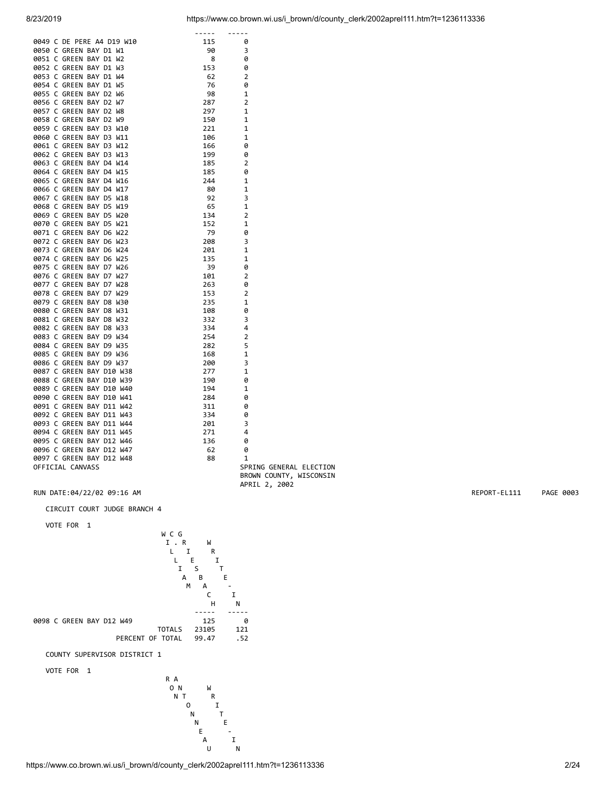| 8/23/2019 | https://www.co.brown.wi.us/i brown/d/county clerk/2002aprel111.htm?t=1236113336 |  |  |
|-----------|---------------------------------------------------------------------------------|--|--|
|           |                                                                                 |  |  |

|                           | $- - - - - -$ | $- - - - - -$           |
|---------------------------|---------------|-------------------------|
| 0049 C DE PERE A4 D19 W10 | 115           | 0                       |
| 0050 C GREEN BAY D1 W1    | 90            | 3                       |
| 0051 C GREEN BAY D1 W2    | 8             | 0                       |
| 0052 C GREEN BAY D1 W3    | 153           | 0                       |
| 0053 C GREEN BAY D1 W4    | 62            | $\overline{2}$          |
| 0054 C GREEN BAY D1 W5    | 76            | 0                       |
| 0055 C GREEN BAY D2 W6    | 98            | 1                       |
| 0056 C GREEN BAY D2 W7    | 287           | $\overline{2}$          |
| 0057 C GREEN BAY D2 W8    | 297           | 1                       |
| 0058 C GREEN BAY D2 W9    | 150           | 1                       |
| 0059 C GREEN BAY D3 W10   | 221           | 1                       |
| 0060 C GREEN BAY D3 W11   | 106           | 1                       |
| 0061 C GREEN BAY D3 W12   | 166           | 0                       |
|                           |               |                         |
| 0062 C GREEN BAY D3 W13   | 199           | 0                       |
| 0063 C GREEN BAY D4 W14   | 185           | 2                       |
| 0064 C GREEN BAY D4 W15   | 185           | 0                       |
| 0065 C GREEN BAY D4 W16   | 244           | 1                       |
| 0066 C GREEN BAY D4 W17   | 80            | 1                       |
| 0067 C GREEN BAY D5 W18   | 92            | 3                       |
| 0068 C GREEN BAY D5 W19   | 65            | 1                       |
| 0069 C GREEN BAY D5 W20   | 134           | 2                       |
| 0070 C GREEN BAY D5 W21   | 152           | 1                       |
| 0071 C GREEN BAY D6 W22   | 79            | 0                       |
| 0072 C GREEN BAY D6 W23   | 208           | 3                       |
| 0073 C GREEN BAY D6 W24   | 201           | 1                       |
| 0074 C GREEN BAY D6 W25   | 135           | 1                       |
| 0075 C GREEN BAY D7 W26   | 39            | 0                       |
| 0076 C GREEN BAY D7 W27   | 101           | 2                       |
| 0077 C GREEN BAY D7 W28   | 263           | 0                       |
| 0078 C GREEN BAY D7 W29   | 153           | 2                       |
| 0079 C GREEN BAY D8 W30   | 235           | 1                       |
| 0080 C GREEN BAY D8 W31   | 108           | 0                       |
| 0081 C GREEN BAY D8 W32   | 332           | 3                       |
| 0082 C GREEN BAY D8 W33   | 334           | 4                       |
| 0083 C GREEN BAY D9 W34   | 254           | 2                       |
| 0084 C GREEN BAY D9 W35   | 282           | 5                       |
|                           |               |                         |
| 0085 C GREEN BAY D9 W36   | 168           | 1                       |
| 0086 C GREEN BAY D9 W37   | 200           | 3                       |
| 0087 C GREEN BAY D10 W38  | 277           | 1                       |
| 0088 C GREEN BAY D10 W39  | 190           | 0                       |
| 0089 C GREEN BAY D10 W40  | 194           | 1                       |
| 0090 C GREEN BAY D10 W41  | 284           | 0                       |
| 0091 C GREEN BAY D11 W42  | 311           | 0                       |
| 0092 C GREEN BAY D11 W43  | 334           | 0                       |
| 0093 C GREEN BAY D11 W44  | 201           | 3                       |
| 0094 C GREEN BAY D11 W45  | 271           | 4                       |
| 0095 C GREEN BAY D12 W46  | 136           | 0                       |
| 0096 C GREEN BAY D12 W47  | 62            | 0                       |
| 0097 C GREEN BAY D12 W48  | 88            | 1                       |
| OFFICIAL CANVASS          |               | SPRING GENERAL ELECTION |
|                           |               | BROWN COUNTY, WISCONSIN |
|                           |               | APRIL 2, 2002           |

RUN DATE:04/22/02 09:16 AM REPORT-EL111 PAGE 0003

# CIRCUIT COURT JUDGE BRANCH 4

VOTE FOR 1



https://www.co.brown.wi.us/i\_brown/d/county\_clerk/2002aprel111.htm?t=1236113336 2/24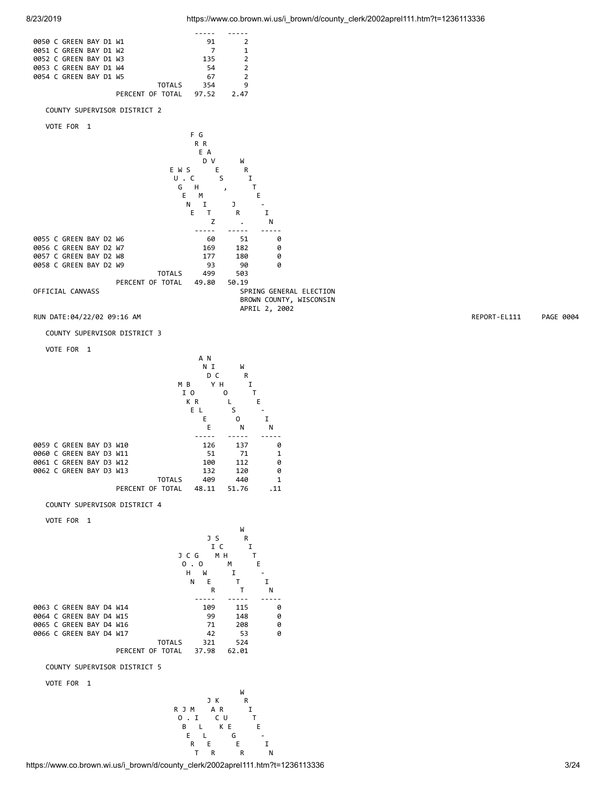

https://www.co.brown.wi.us/i\_brown/d/county\_clerk/2002aprel111.htm?t=1236113336 3/24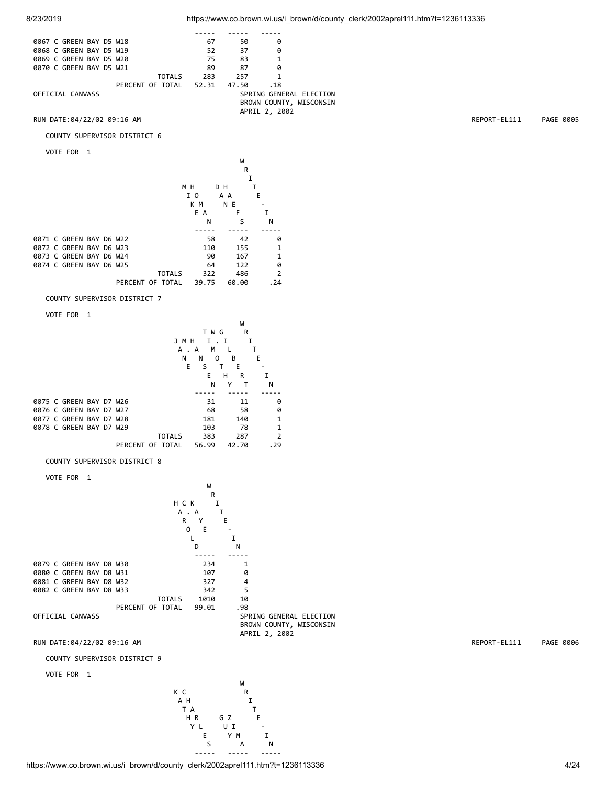

### COUNTY SUPERVISOR DISTRICT 6

VOTE FOR 1

|  |                         |  |                  |               |       |     | W     |    |                |
|--|-------------------------|--|------------------|---------------|-------|-----|-------|----|----------------|
|  |                         |  |                  |               |       |     |       | R  |                |
|  |                         |  |                  |               |       |     |       | I  |                |
|  |                         |  |                  |               | мн    |     | D H   |    |                |
|  |                         |  |                  |               | I 0   |     | A A   | E  |                |
|  |                         |  |                  |               | K M   |     | N E   |    |                |
|  |                         |  |                  |               | E A   |     | F     |    | I              |
|  |                         |  |                  |               |       | N   | S     |    | N              |
|  |                         |  |                  |               |       |     |       |    |                |
|  | 0071 C GREEN BAY D6 W22 |  |                  |               |       | 58  |       | 42 | 0              |
|  | 0072 C GREEN BAY D6 W23 |  |                  |               |       | 110 | 155   |    | 1              |
|  | 0073 C GREEN BAY D6 W24 |  |                  |               |       | 90  | 167   |    | 1              |
|  | 0074 C GREEN BAY D6 W25 |  |                  |               |       | 64  | 122   |    | 0              |
|  |                         |  |                  | <b>TOTALS</b> |       | 322 | 486   |    | $\overline{2}$ |
|  |                         |  | PERCENT OF TOTAL |               | 39.75 |     | 60.00 |    | . 24           |

COUNTY SUPERVISOR DISTRICT 7

VOTE FOR 1



COUNTY SUPERVISOR DISTRICT 8

VOTE FOR 1



RUN DATE:04/22/02 09:16 AM REPORT-EL111 PAGE 0006

COUNTY SUPERVISOR DISTRICT 9

VOTE FOR 1

W<sub>1</sub> K C R  $A$  H I T A T H R G Z E Y LUI - E Y M I S A N ----- ----- -----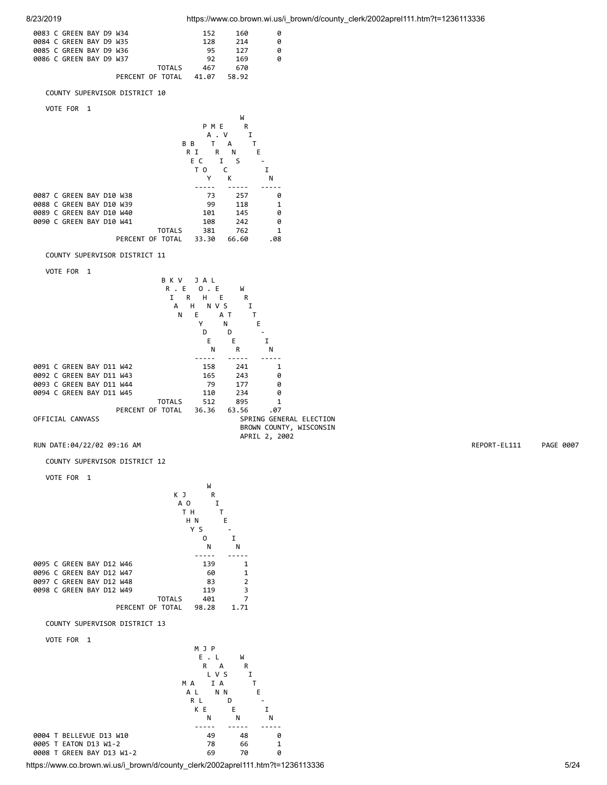

https://www.co.brown.wi.us/i\_brown/d/county\_clerk/2002aprel111.htm?t=1236113336 5/24

R L D - K E E I N N N ----- ----- ----- 0004 T BELLEVUE D13 W10 49 48 0 0005 T EATON D13 W1-2 78 66 1 0008 T GREEN BAY D13 W1-2 69 70 0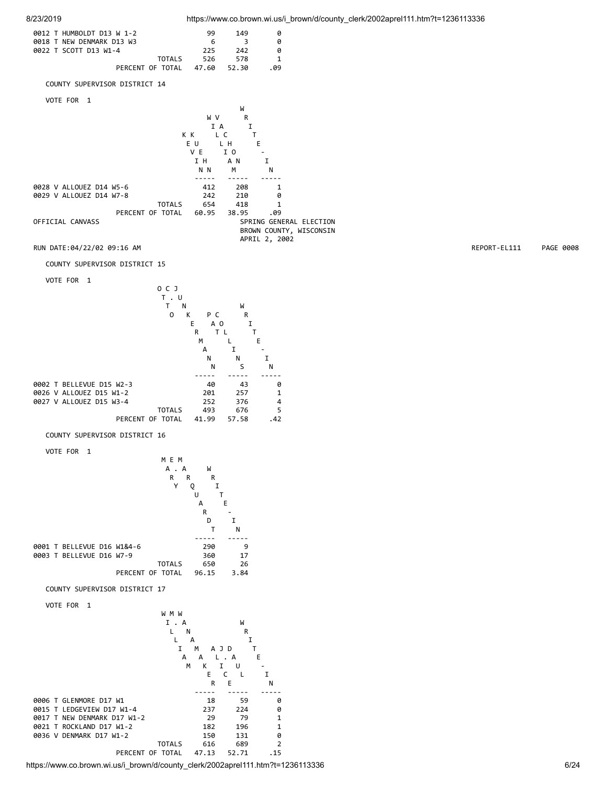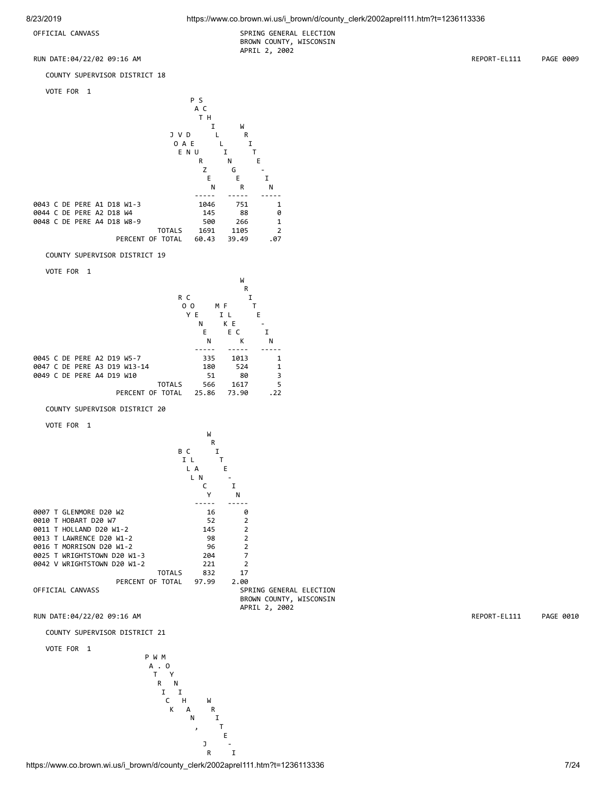OFFICIAL CANVASS SPRING GENERAL ELECTION BROWN COUNTY, WISCONSIN APRIL 2, 2002

COUNTY SUPERVISOR DISTRICT 18

VOTE FOR 1



COUNTY SUPERVISOR DISTRICT 19

VOTE FOR 1



COUNTY SUPERVISOR DISTRICT 20

VOTE FOR 1



RUN DATE:04/22/02 09:16 AM REPORT-EL111 PAGE 0010

COUNTY SUPERVISOR DISTRICT 21

VOTE FOR 1

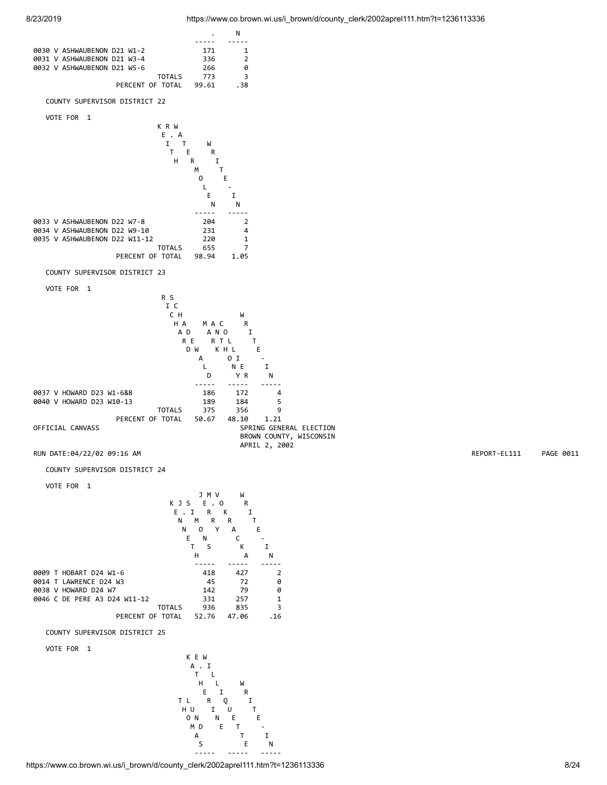

https://www.co.brown.wi.us/i\_brown/d/county\_clerk/2002aprel111.htm?t=1236113336 8/24

----- ----- -----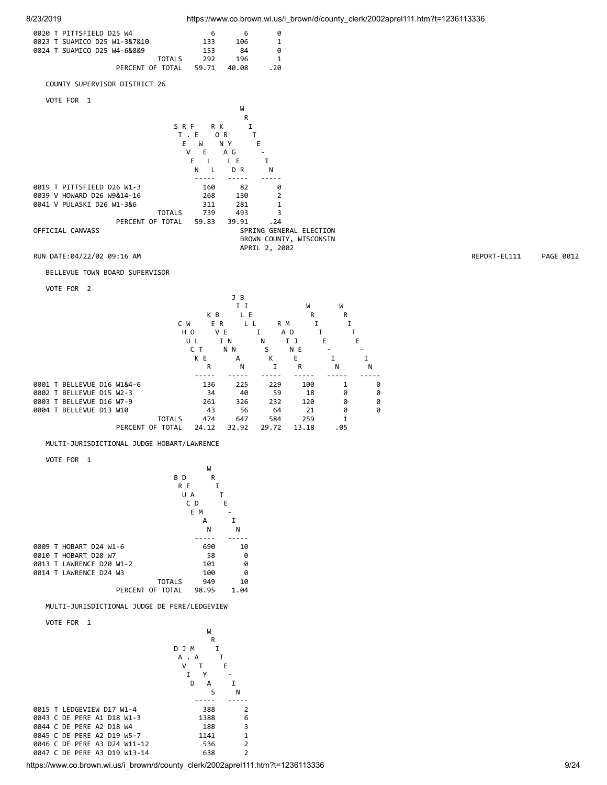

| 0020 T PITTSFIELD D25 W4       | 6                    | 6                                           | 0                                                  |              |        |              |           |
|--------------------------------|----------------------|---------------------------------------------|----------------------------------------------------|--------------|--------|--------------|-----------|
| 0023 T SUAMICO D25 W1-3&7&10   | 133                  | 106                                         | 1                                                  |              |        |              |           |
| 0024 T SUAMICO D25 W4-6&8&9    | 153                  | 84                                          | 0                                                  |              |        |              |           |
|                                | <b>TOTALS</b><br>292 | 196                                         | $\mathbf 1$                                        |              |        |              |           |
| PERCENT OF TOTAL               | 59.71                | 40.08                                       | .20                                                |              |        |              |           |
| COUNTY SUPERVISOR DISTRICT 26  |                      |                                             |                                                    |              |        |              |           |
| VOTE FOR 1                     |                      |                                             |                                                    |              |        |              |           |
|                                |                      | W                                           |                                                    |              |        |              |           |
|                                |                      | R                                           |                                                    |              |        |              |           |
|                                | SRF<br>R K           | I                                           |                                                    |              |        |              |           |
|                                | $T$ . E              | OR<br>T                                     |                                                    |              |        |              |           |
|                                | E<br>W<br>V<br>E     | E<br>N Y<br>A G<br>$\overline{\phantom{a}}$ |                                                    |              |        |              |           |
|                                | Ε<br>L               | L E                                         | I                                                  |              |        |              |           |
|                                | N<br>L               | D R                                         | N                                                  |              |        |              |           |
|                                |                      |                                             |                                                    |              |        |              |           |
| 0019 T PITTSFIELD D26 W1-3     | 160                  | 82                                          | 0                                                  |              |        |              |           |
| 0039 V HOWARD D26 W9&14-16     | 268                  | 130                                         | $\overline{2}$                                     |              |        |              |           |
| 0041 V PULASKI D26 W1-3&6      | 311                  | 281                                         | 1                                                  |              |        |              |           |
|                                | 739<br><b>TOTALS</b> | 493                                         | 3                                                  |              |        |              |           |
| PERCENT OF TOTAL               | 59.83                | 39.91                                       | .24                                                |              |        |              |           |
| OFFICIAL CANVASS               |                      |                                             | SPRING GENERAL ELECTION<br>BROWN COUNTY, WISCONSIN |              |        |              |           |
|                                |                      |                                             | APRIL 2, 2002                                      |              |        |              |           |
| RUN DATE:04/22/02 09:16 AM     |                      |                                             |                                                    |              |        | REPORT-EL111 | PAGE 0012 |
|                                |                      |                                             |                                                    |              |        |              |           |
| BELLEVUE TOWN BOARD SUPERVISOR |                      |                                             |                                                    |              |        |              |           |
| VOTE FOR 2                     |                      |                                             |                                                    |              |        |              |           |
|                                |                      | J B                                         |                                                    |              |        |              |           |
|                                |                      | I I                                         | W                                                  | W            |        |              |           |
|                                | K B                  | L E                                         | R                                                  | R            |        |              |           |
|                                | C W<br>E R           | L L                                         | R M<br>1                                           | 1            |        |              |           |
|                                | H O                  | V E<br>Ι.                                   | A O                                                | T<br>Τ       |        |              |           |
|                                | UL                   | I N<br>Ν                                    | IJ                                                 | Е<br>Е       |        |              |           |
|                                | C T                  | N N                                         | S<br>N E                                           |              |        |              |           |
|                                | K E<br>R             | А<br>N                                      | Κ<br>E<br>I<br>R                                   | I<br>N       | I<br>N |              |           |
|                                |                      |                                             |                                                    |              |        |              |           |
| 0001 T BELLEVUE D16 W1&4-6     | 136                  | 225                                         | 229<br>100                                         | 1            | 0      |              |           |
| 0002 T BELLEVUE D15 W2-3       | 34                   | 40                                          | 59<br>18                                           | 0            | 0      |              |           |
| 0003 T BELLEVUE D16 W7-9       | 261                  | 326                                         | 232<br>120                                         | 0            | 0      |              |           |
| 0004 T BELLEVUE D13 W10        | 43                   | 56                                          | 64<br>21                                           | 0            | 0      |              |           |
|                                | <b>TOTALS</b><br>474 | 647                                         | 584<br>259                                         | $\mathbf{1}$ |        |              |           |

PERCENT OF TOTAL 24.12 32.92 29.72 13.18 .05

## MULTI-JURISDICTIONAL JUDGE HOBART/LAWRENCE

VOTE FOR 1



MULTI-JURISDICTIONAL JUDGE DE PERE/LEDGEVIEW

VOTE FOR 1



https://www.co.brown.wi.us/i\_brown/d/county\_clerk/2002aprel111.htm?t=1236113336 9/24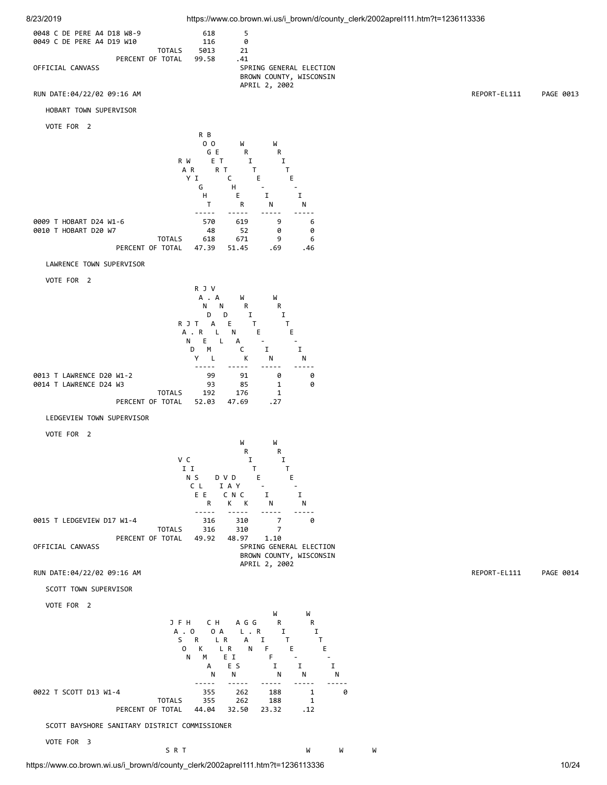



https://www.co.brown.wi.us/i\_brown/d/county\_clerk/2002aprel111.htm?t=1236113336 10/24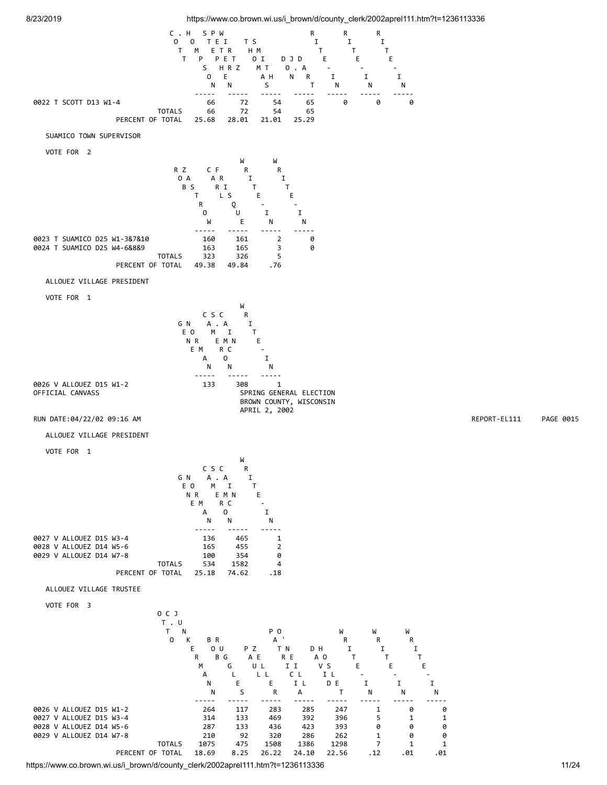

https://www.co.brown.wi.us/i\_brown/d/county\_clerk/2002aprel111.htm?t=1236113336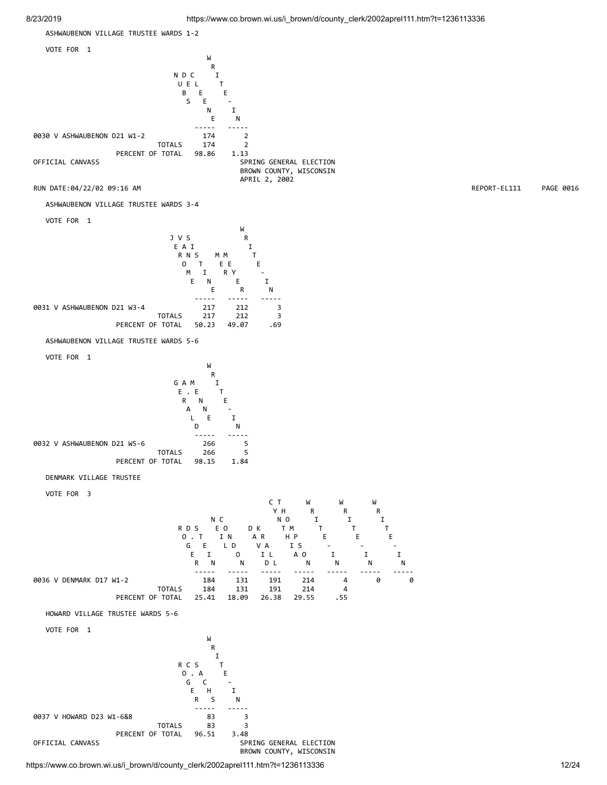

BROWN COUNTY, WISCONSIN

https://www.co.brown.wi.us/i\_brown/d/county\_clerk/2002aprel111.htm?t=1236113336 12/24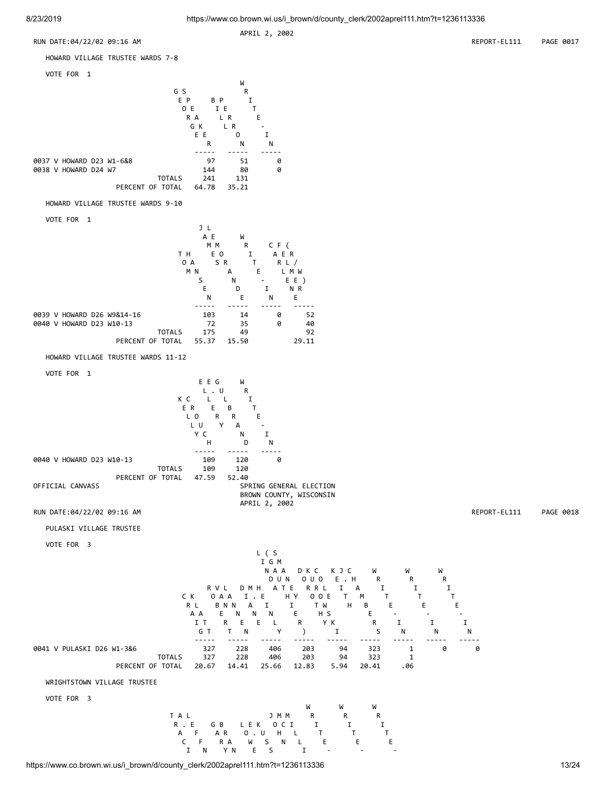APRIL 2, 2002







## WRIGHTSTOWN VILLAGE TRUSTEE

VOTE FOR 3

 W W W TAL JMMRRRR R . E G B LEK O C I I I I A F AR O.U H L T T T C F RA W S N L E E E E I N YN E S I - - -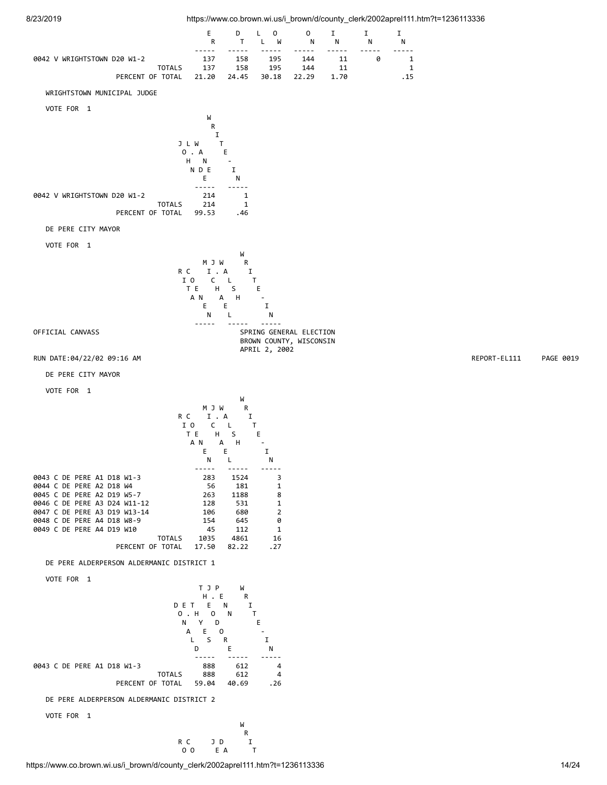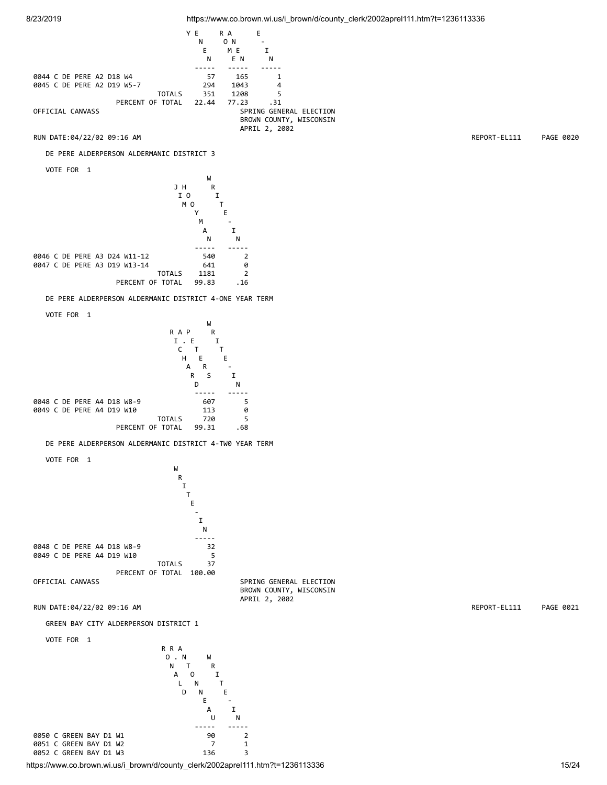

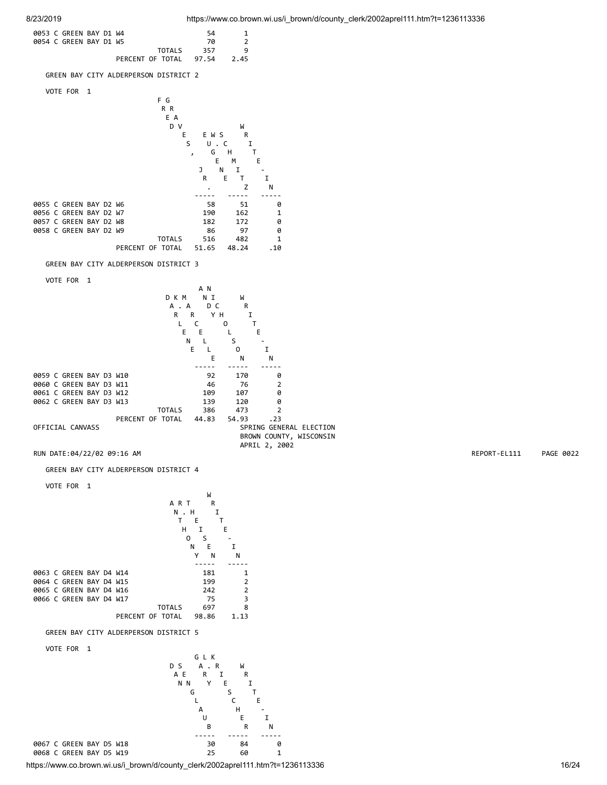



https://www.co.brown.wi.us/i\_brown/d/county\_clerk/2002aprel111.htm?t=1236113336 16/24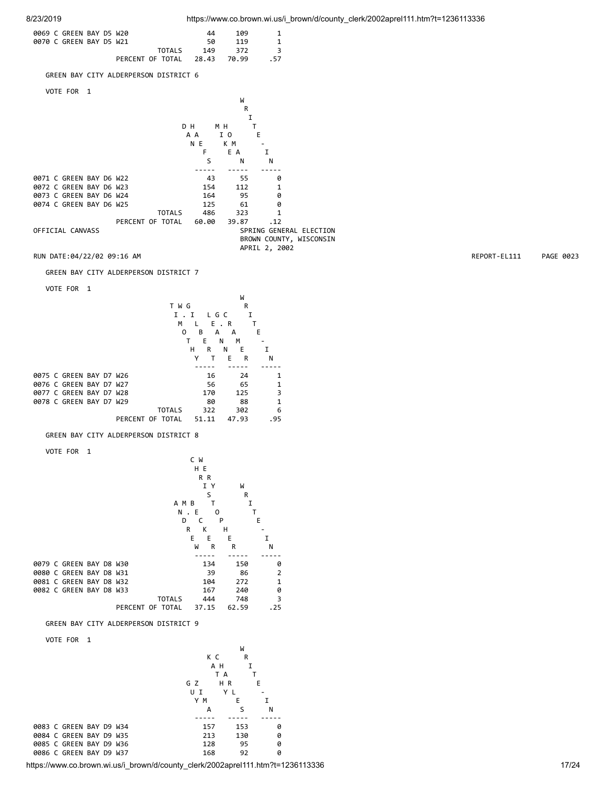

 I Y W S R A M B T I N . E 0<br>D C P D C P E R K H - E E E I W R R N ----- ----- ----- 0079 C GREEN BAY D8 W30 134 150 0 0080 C GREEN BAY D8 W31 39 86 2 0081 C GREEN BAY D8 W32 0082 C GREEN BAY D8 W33 167 240 0 TOTALS 444 748 3 PERCENT OF TOTAL 37.15 62.59 .25

GREEN BAY CITY ALDERPERSON DISTRICT 9

VOTE FOR 1

| VUIL IUN<br>. .         |           |     |   |
|-------------------------|-----------|-----|---|
|                         |           | W   |   |
|                         | КC        | R   |   |
|                         | A H       |     |   |
|                         | T A       |     |   |
|                         | HR<br>G Z | Е   |   |
|                         | YL<br>UΙ  |     |   |
|                         | Y M       | Е   |   |
|                         | А         | S   | N |
|                         |           |     |   |
| 0083 C GREEN BAY D9 W34 | 157       | 153 | A |
| 0084 C GREEN BAY D9 W35 | 213       | 130 | 0 |
| 0085 C GREEN BAY D9 W36 | 128       | 95  | 0 |
| 0086 C GREEN BAY D9 W37 | 168       | 92  | 0 |
|                         |           |     |   |

https://www.co.brown.wi.us/i\_brown/d/county\_clerk/2002aprel111.htm?t=1236113336 17/24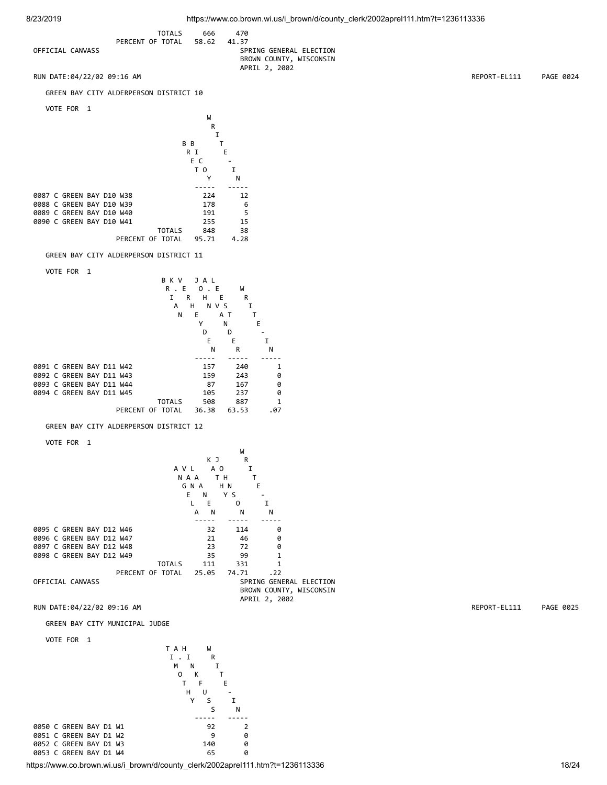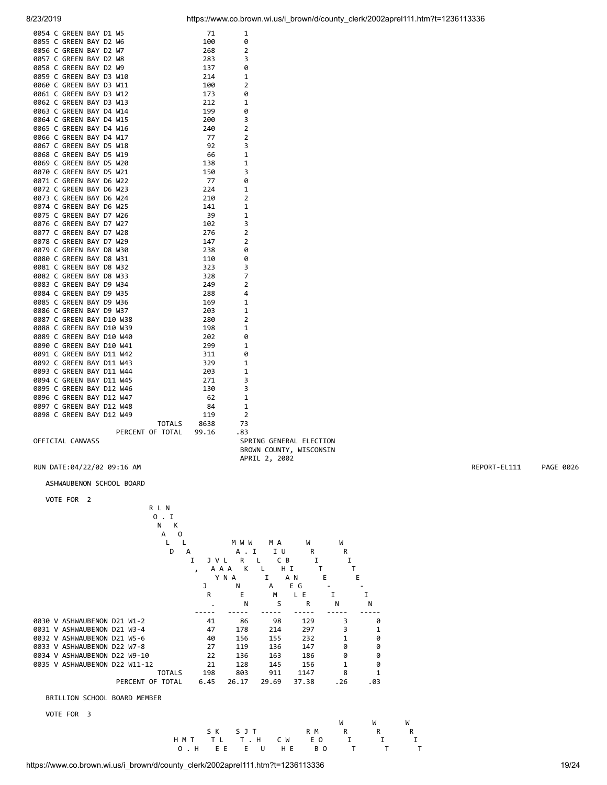| 0054 C GREEN BAY D1 W5  |  |  |                        | 71          | 1              |           |
|-------------------------|--|--|------------------------|-------------|----------------|-----------|
| 0055 C GREEN BAY D2 W6  |  |  |                        | 100         | 0              |           |
| 0056 C GREEN BAY D2 W7  |  |  |                        | 268         | 2              |           |
| 0057 C GREEN BAY D2 W8  |  |  |                        | 283         | 3              |           |
| 0058 C GREEN BAY D2 W9  |  |  |                        | 137         | 0              |           |
| 0059 C GREEN BAY D3 W10 |  |  |                        | 214         | $\mathbf{1}$   |           |
| 0060 C GREEN BAY D3 W11 |  |  |                        | 100         | $\overline{2}$ |           |
| 0061 C GREEN BAY D3 W12 |  |  |                        | 173         | 0              |           |
| 0062 C GREEN BAY D3 W13 |  |  |                        |             | 1              |           |
|                         |  |  |                        | 212         |                |           |
| 0063 C GREEN BAY D4 W14 |  |  |                        | 199         | 0              |           |
| 0064 C GREEN BAY D4 W15 |  |  |                        | 200         | 3              |           |
| 0065 C GREEN BAY D4 W16 |  |  |                        | 240         | $\overline{2}$ |           |
| 0066 C GREEN BAY D4 W17 |  |  |                        | 77          | $\overline{2}$ |           |
| 0067 C GREEN BAY D5 W18 |  |  |                        | 92          | 3              |           |
| 0068 C GREEN BAY D5 W19 |  |  |                        | 66          | $\mathbf{1}$   |           |
| 0069 C GREEN BAY D5 W20 |  |  |                        | 138         | 1              |           |
| 0070 C GREEN BAY D5 W21 |  |  |                        | 150         | 3              |           |
| 0071 C GREEN BAY D6 W22 |  |  |                        | 77          | 0              |           |
| 0072 C GREEN BAY D6 W23 |  |  |                        | 224         | 1              |           |
| 0073 C GREEN BAY D6 W24 |  |  |                        | 210         | $\overline{2}$ |           |
| 0074 C GREEN BAY D6 W25 |  |  |                        | 141         | 1              |           |
| 0075 C GREEN BAY D7 W26 |  |  |                        | 39          | $\mathbf{1}$   |           |
| 0076 C GREEN BAY D7 W27 |  |  |                        | 102         | 3              |           |
| 0077 C GREEN BAY D7 W28 |  |  |                        | 276         | $\overline{2}$ |           |
| 0078 C GREEN BAY D7 W29 |  |  |                        | 147         | $\overline{2}$ |           |
| 0079 C GREEN BAY D8 W30 |  |  |                        | 238         | 0              |           |
|                         |  |  |                        |             |                |           |
| 0080 C GREEN BAY D8 W31 |  |  |                        | 110         | 0              |           |
|                         |  |  |                        | 323         | 3              |           |
|                         |  |  |                        | 328         | $\overline{7}$ |           |
|                         |  |  |                        | 249         | $\overline{2}$ |           |
|                         |  |  |                        | 288         | 4              |           |
|                         |  |  |                        | 169         | $\mathbf{1}$   |           |
|                         |  |  |                        | 203         | $\mathbf{1}$   |           |
|                         |  |  |                        | 280         | 2              |           |
|                         |  |  |                        | 198         | $\mathbf{1}$   |           |
|                         |  |  |                        | 202         | 0              |           |
|                         |  |  |                        | 299         | 1              |           |
|                         |  |  |                        | 311         | 0              |           |
|                         |  |  |                        | 329         | 1              |           |
|                         |  |  |                        | 203         | $\mathbf{1}$   |           |
|                         |  |  |                        | 271         | 3              |           |
|                         |  |  |                        | 130         | 3              |           |
|                         |  |  |                        | 62          | 1              |           |
|                         |  |  |                        | 84          | 1              |           |
|                         |  |  |                        |             | $\overline{2}$ |           |
|                         |  |  |                        | 119         |                |           |
|                         |  |  | PERCENT OF TOTAL 99.16 | TOTALS 8638 | 73             |           |
|                         |  |  |                        |             | .83            |           |
|                         |  |  |                        |             |                | SPRING GE |

R L N

OFFICIAL CANVASS SPRING GENERAL ELECTION BROWN COUNTY, WISCONSIN APRIL 2, 2002

### ASHWAUBENON SCHOOL BOARD

### VOTE FOR 2

|                               | 0             |              |            |                |         |     |              |
|-------------------------------|---------------|--------------|------------|----------------|---------|-----|--------------|
|                               | N<br>к        |              |            |                |         |     |              |
|                               | A<br>$\Omega$ |              |            |                |         |     |              |
|                               |               |              | M W W      | M A            | W       | W   |              |
|                               | D             | A            | А          | <b>I</b><br>ΙU | R       | R   |              |
|                               |               | I<br>ı.      | R          | C              | B<br>I  | I   |              |
|                               |               | $\mathbf{z}$ | К<br>A A A |                | НI      |     |              |
|                               |               |              | YNA        | I              | A N     | Е   | Е            |
|                               |               | J            | Ν          | A              | E G     |     |              |
|                               |               | R            | E          | М              | E<br>L. |     | I            |
|                               |               |              | N          | S              | R       | N   | N            |
|                               |               |              |            |                |         |     |              |
| 0030 V ASHWAUBENON D21 W1-2   |               | 41           | 86         | 98             | 129     | 3   | 0            |
| 0031 V ASHWAUBENON D21 W3-4   |               | 47           | 178        | 214            | 297     | 3   | 1            |
| 0032 V ASHWAUBENON D21 W5-6   |               | 40           | 156        | 155            | 232     |     | 0            |
| 0033 V ASHWAUBENON D22 W7-8   |               | 27           | 119        | 136            | 147     | ø   | 0            |
| 0034 V ASHWAUBENON D22 W9-10  |               | 22           | 136        | 163            | 186     | 0   | 0            |
| 0035 V ASHWAUBENON D22 W11-12 |               | 21           | 128        | 145            | 156     | 1   | 0            |
|                               | <b>TOTALS</b> | 198          | 803        | 911            | 1147    | 8   | $\mathbf{1}$ |
| PERCENT OF TOTAL              |               | 6.45         | 26.17      | 29.69          | 37.38   | .26 | .03          |

# BRILLION SCHOOL BOARD MEMBER

VOTE FOR 3

|  |                      |  | W W W |  |
|--|----------------------|--|-------|--|
|  | SK SJTRMRRRR         |  |       |  |
|  | HMT TL T.H CW EO III |  |       |  |
|  | O.H EE EU HE BOTTTT  |  |       |  |

RUN DATE:04/22/02 09:16 AM **REPORT-EL111** PAGE 0026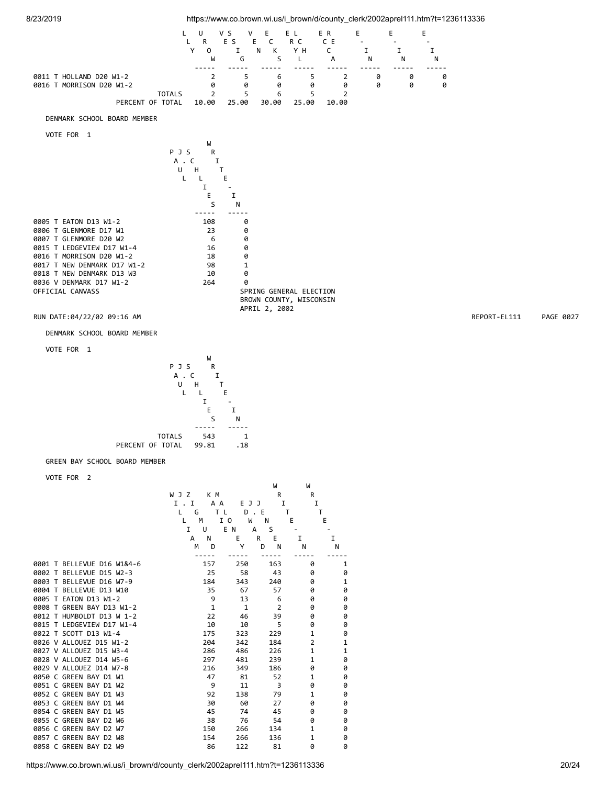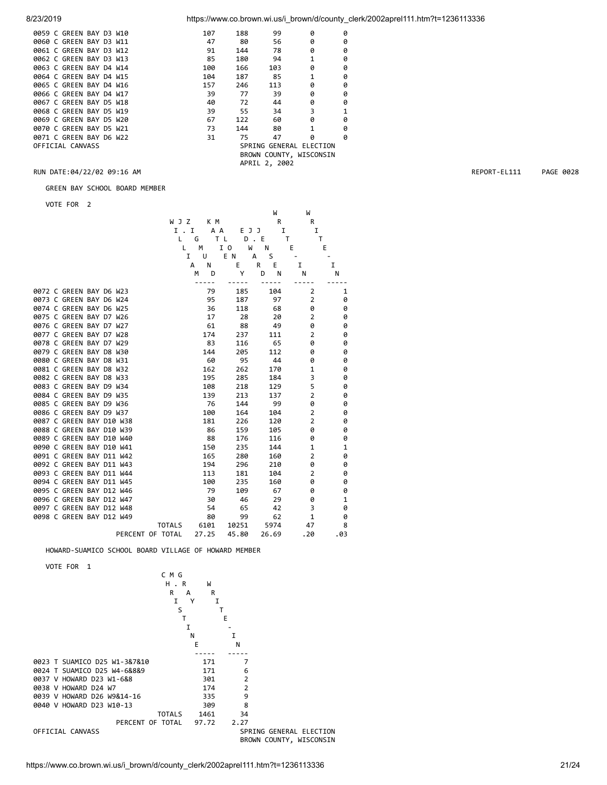| 0059 C GREEN BAY D3 W10 |  | 107 | 188 | 99            | ø                       | 0 |
|-------------------------|--|-----|-----|---------------|-------------------------|---|
| 0060 C GREEN BAY D3 W11 |  | 47  | 80  | 56            | ø                       | 0 |
| 0061 C GREEN BAY D3 W12 |  | 91  | 144 | 78            | ø                       | 0 |
| 0062 C GREEN BAY D3 W13 |  | 85  | 180 | 94            | $\mathbf{1}$            | 0 |
| 0063 C GREEN BAY D4 W14 |  | 100 | 166 | 103           | ø                       | 0 |
| 0064 C GREEN BAY D4 W15 |  | 104 | 187 | 85            | 1                       | 0 |
| 0065 C GREEN BAY D4 W16 |  | 157 | 246 | 113           | ø                       | 0 |
| 0066 C GREEN BAY D4 W17 |  | 39  | 77  | 39            | ø                       | 0 |
| 0067 C GREEN BAY D5 W18 |  | 40  | 72  | 44            | 0                       | 0 |
| 0068 C GREEN BAY D5 W19 |  | 39  | 55  | 34            | 3                       | 1 |
| 0069 C GREEN BAY D5 W20 |  | 67  | 122 | 60            | ø                       | 0 |
| 0070 C GREEN BAY D5 W21 |  | 73  | 144 | 80            | 1                       | 0 |
| 0071 C GREEN BAY D6 W22 |  | 31  | 75  | 47            | ø                       | 0 |
| OFFICIAL CANVASS        |  |     |     |               | SPRING GENERAL ELECTION |   |
|                         |  |     |     |               | BROWN COUNTY, WISCONSIN |   |
|                         |  |     |     | APRIL 2, 2002 |                         |   |
|                         |  |     |     |               |                         |   |

GREEN BAY SCHOOL BOARD MEMBER

VOTE FOR 2

|  |                          |  |                  |               |        |       |       |         | W     | W              |     |
|--|--------------------------|--|------------------|---------------|--------|-------|-------|---------|-------|----------------|-----|
|  |                          |  |                  |               | W J Z  | K M   |       |         | R     | R              |     |
|  |                          |  |                  |               | I.I    | A A   |       | E J J   | I     |                | I   |
|  |                          |  |                  |               | G<br>L |       | T L   | $D$ . E |       | т              | т   |
|  |                          |  |                  |               | M<br>Г |       | I 0   | W       | Ν     | Ε              | Ε   |
|  |                          |  |                  |               | I      | U     | E N   | А       | S     |                |     |
|  |                          |  |                  |               | А      | N     | E     | R       | E     | I              | I   |
|  |                          |  |                  |               | M      | D     | Υ     | D       | N     | Ν              | Ν   |
|  | 0072 C GREEN BAY D6 W23  |  |                  |               |        | 79    | 185   |         | 104   | 2              | 1   |
|  | 0073 C GREEN BAY D6 W24  |  |                  |               |        | 95    | 187   |         | 97    | $\overline{2}$ | 0   |
|  | 0074 C GREEN BAY D6 W25  |  |                  |               |        | 36    | 118   |         | 68    | 0              | 0   |
|  | 0075 C GREEN BAY D7 W26  |  |                  |               |        | 17    | 28    |         | 20    | $\overline{2}$ | 0   |
|  | 0076 C GREEN BAY D7 W27  |  |                  |               |        | 61    | 88    |         | 49    | 0              | 0   |
|  | 0077 C GREEN BAY D7 W28  |  |                  |               |        | 174   | 237   |         | 111   | $\overline{2}$ | 0   |
|  | 0078 C GREEN BAY D7 W29  |  |                  |               |        | 83    | 116   |         | 65    | 0              | 0   |
|  | 0079 C GREEN BAY D8 W30  |  |                  |               |        | 144   | 205   |         | 112   | 0              | 0   |
|  | 0080 C GREEN BAY D8 W31  |  |                  |               |        | 60    | 95    |         | 44    | 0              | 0   |
|  | 0081 C GREEN BAY D8 W32  |  |                  |               |        | 162   | 262   |         | 170   | 1              | 0   |
|  | 0082 C GREEN BAY D8 W33  |  |                  |               |        | 195   | 285   |         | 184   | 3              | 0   |
|  | 0083 C GREEN BAY D9 W34  |  |                  |               |        | 108   | 218   |         | 129   | 5              | 0   |
|  | 0084 C GREEN BAY D9 W35  |  |                  |               |        | 139   | 213   |         | 137   | $\overline{2}$ | 0   |
|  | 0085 C GREEN BAY D9 W36  |  |                  |               |        | 76    | 144   |         | 99    | 0              | 0   |
|  | 0086 C GREEN BAY D9 W37  |  |                  |               |        | 100   | 164   |         | 104   | $\overline{2}$ | 0   |
|  | 0087 C GREEN BAY D10 W38 |  |                  |               |        | 181   | 226   |         | 120   | $\overline{2}$ | 0   |
|  | 0088 C GREEN BAY D10 W39 |  |                  |               |        | 86    | 159   |         | 105   | 0              | 0   |
|  | 0089 C GREEN BAY D10 W40 |  |                  |               |        | 88    | 176   |         | 116   | 0              | 0   |
|  | 0090 C GREEN BAY D10 W41 |  |                  |               |        | 150   | 235   |         | 144   | 1              | 1   |
|  | 0091 C GREEN BAY D11 W42 |  |                  |               |        | 165   | 280   |         | 160   | $\overline{2}$ | 0   |
|  | 0092 C GREEN BAY D11 W43 |  |                  |               |        | 194   | 296   |         | 210   | 0              | 0   |
|  | 0093 C GREEN BAY D11 W44 |  |                  |               |        | 113   | 181   |         | 104   | $\overline{2}$ | 0   |
|  | 0094 C GREEN BAY D11 W45 |  |                  |               |        | 100   | 235   |         | 160   | 0              | 0   |
|  | 0095 C GREEN BAY D12 W46 |  |                  |               |        | 79    | 109   |         | 67    | 0              | 0   |
|  | 0096 C GREEN BAY D12 W47 |  |                  |               |        | 30    | 46    |         | 29    | 0              | 1   |
|  | 0097 C GREEN BAY D12 W48 |  |                  |               |        | 54    | 65    |         | 42    | 3              | 0   |
|  | 0098 C GREEN BAY D12 W49 |  |                  |               |        | 80    | 99    |         | 62    | $\mathbf{1}$   | 0   |
|  |                          |  |                  | <b>TOTALS</b> |        | 6101  | 10251 |         | 5974  | 47             | 8   |
|  |                          |  | PERCENT OF TOTAL |               |        | 27.25 | 45.80 |         | 26.69 | . 20           | .03 |

### HOWARD-SUAMICO SCHOOL BOARD VILLAGE OF HOWARD MEMBER

VOTE FOR 1



RUN DATE:04/22/02 09:16 AM REPORT-EL111 PAGE 0028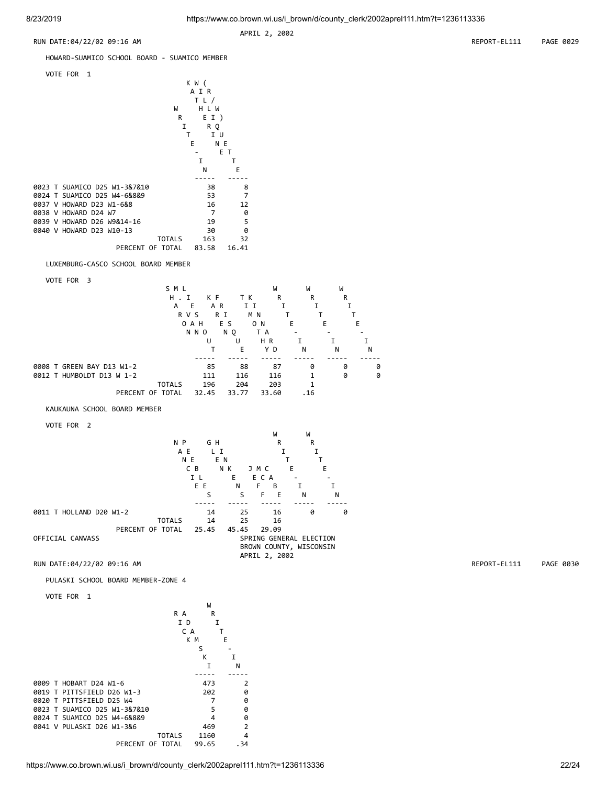APRIL 2, 2002



## HOWARD-SUAMICO SCHOOL BOARD - SUAMICO MEMBER

| VOTE FOR 1<br>W<br>R<br>I<br>т    | K W (<br>A I R<br>TL/<br>H L W<br>EI)<br>R O<br>ΙU<br>E<br>N E |       |
|-----------------------------------|----------------------------------------------------------------|-------|
|                                   |                                                                | ЕT    |
|                                   | I                                                              | т     |
|                                   | N                                                              | E     |
|                                   |                                                                |       |
| 0023 T SUAMICO D25 W1-3&7&10      | 38                                                             | 8     |
| SUAMICO D25 W4-6&8&9<br>0024<br>т | 53                                                             | 7     |
| HOWARD D23 W1-6&8<br>9937<br>v    | 16                                                             | 12    |
| 0038 V HOWARD D24 W7              | 7                                                              | 0     |
| 0039 V HOWARD D26 W9&14-16        | 19                                                             | 5     |
| 0040 V HOWARD D23 W10-13          | 30                                                             | 0     |
| <b>TOTALS</b>                     | 163                                                            | 32    |
| PERCENT OF TOTAL                  | 83.58                                                          | 16.41 |
|                                   |                                                                |       |

LUXEMBURG-CASCO SCHOOL BOARD MEMBER

VOTE FOR 3

|                           | SML           |       |            | W     | W      | W      |
|---------------------------|---------------|-------|------------|-------|--------|--------|
|                           | H.<br>I       | K F   | тĸ         | R     | R      | R      |
|                           | Е<br>A        | A R   | ΙI         |       |        |        |
|                           | R V S         | R I   | M N        |       |        |        |
|                           | 0 A H         | E S   | O N        | Е     | E      | E      |
|                           | N N O         |       | NQ.<br>T A |       |        |        |
|                           |               | U     | U          | HR    |        |        |
|                           |               |       | E          | ΥD    | N<br>N | N      |
|                           |               |       |            |       |        |        |
| 0008 T GREEN BAY D13 W1-2 |               | 85    | 88         | 87    | 0      | 0<br>0 |
| 0012 T HUMBOLDT D13 W 1-2 |               | 111   | 116        | 116   | 1      | 0<br>0 |
|                           | <b>TOTALS</b> | 196   | 204        | 203   | 1      |        |
| PERCENT OF TOTAL          |               | 32.45 | 33.77      | 33.60 | .16    |        |

KAUKAUNA SCHOOL BOARD MEMBER

VOTE FOR 2



PULASKI SCHOOL BOARD MEMBER-ZONE 4

```
 VOTE FOR 1
```


RUN DATE:04/22/02 09:16 AM REPORT-EL111 PAGE 0030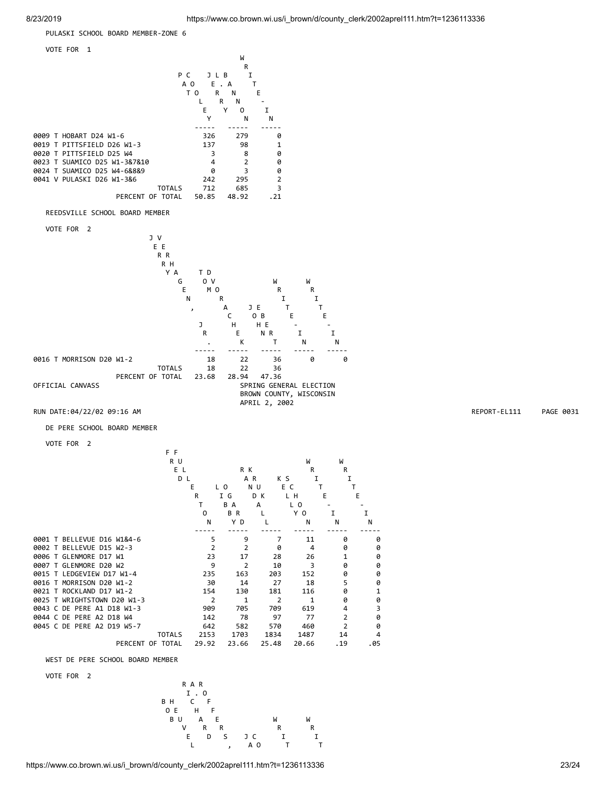PULASKI SCHOOL BOARD MEMBER-ZONE 6



VOTE FOR 2